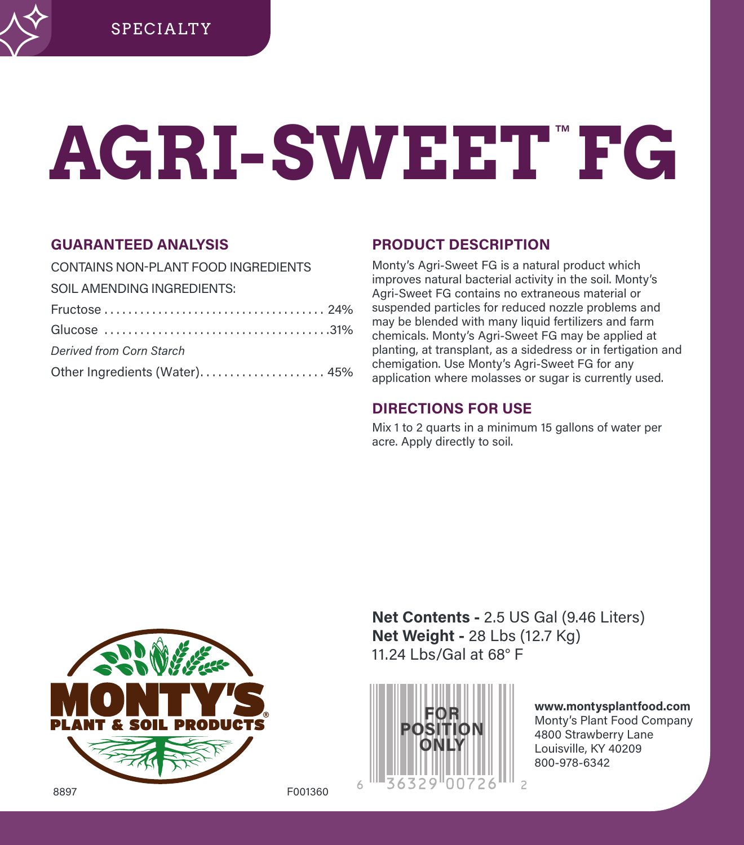# **AGRI-SWEET**™ **FG**

## **GUARANTEED ANALYSIS**

| CONTAINS NON-PLANT FOOD INGREDIENTS |  |
|-------------------------------------|--|
| SOIL AMENDING INGREDIENTS:          |  |
|                                     |  |
|                                     |  |
| Derived from Corn Starch            |  |
| Other Ingredients (Water) 45%       |  |

# **PRODUCT DESCRIPTION**

Monty's Agri-Sweet FG is a natural product which improves natural bacterial activity in the soil. Monty's Agri-Sweet FG contains no extraneous material or suspended particles for reduced nozzle problems and may be blended with many liquid fertilizers and farm chemicals. Monty's Agri-Sweet FG may be applied at planting, at transplant, as a sidedress or in fertigation and chemigation. Use Monty's Agri-Sweet FG for any application where molasses or sugar is currently used.

# **DIRECTIONS FOR USE**

Mix 1 to 2 quarts in a minimum 15 gallons of water per acre. Apply directly to soil.



**Net Contents -** 2.5 US Gal (9.46 Liters) **Net Weight -** 28 Lbs (12.7 Kg) 11.24 Lbs/Gal at 68° F



**www.montysplantfood.com**  Monty's Plant Food Company 4800 Strawberry Lane Louisville, KY 40209 800-978-6342